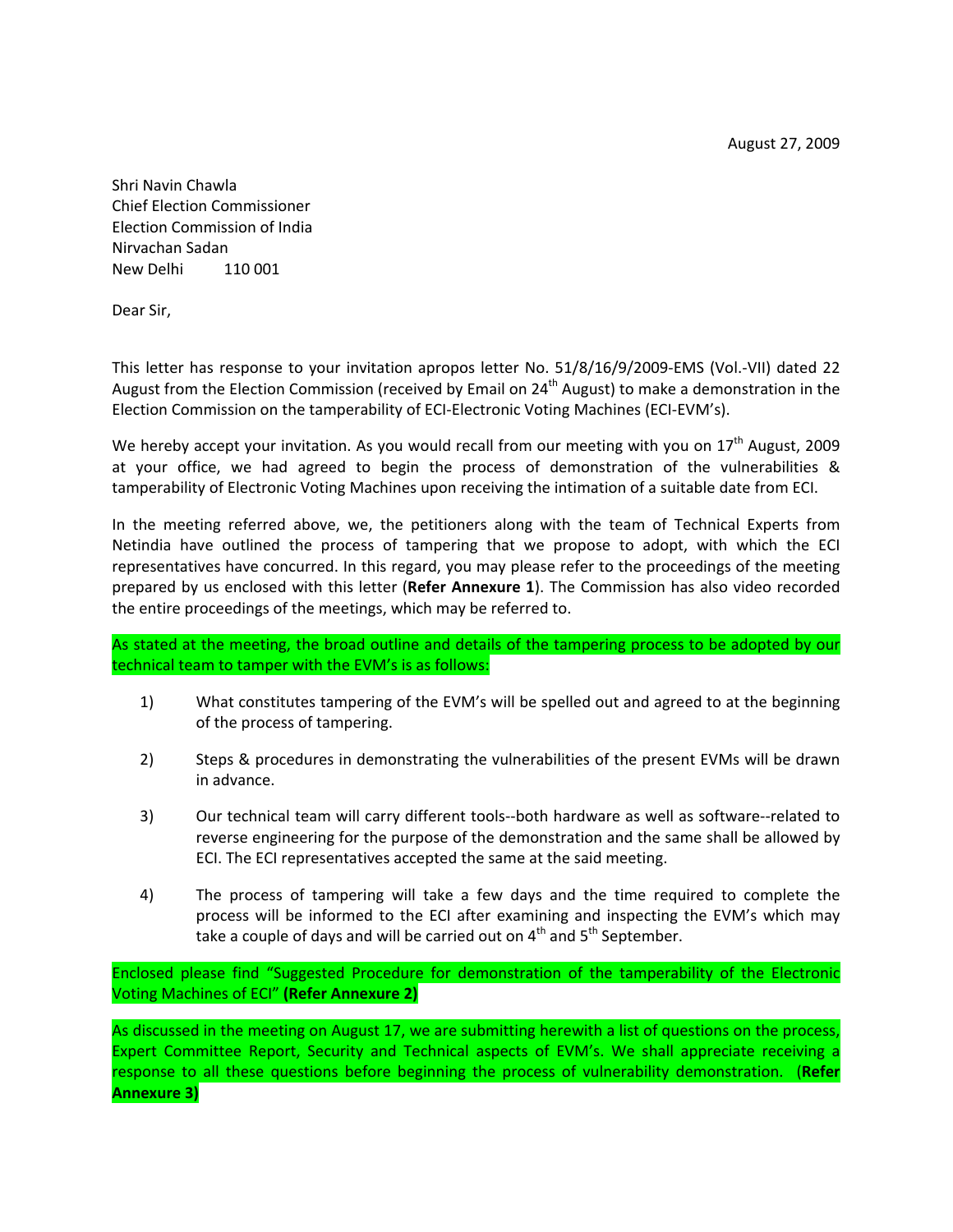Shri Navin Chawla Chief Election Commissioner Election Commission of India Nirvachan Sadan New Delhi 110 001

Dear Sir,

This letter has response to your invitation apropos letter No. 51/8/16/9/2009-EMS (Vol.-VII) dated 22 August from the Election Commission (received by Email on 24<sup>th</sup> August) to make a demonstration in the Election Commission on the tamperability of ECI‐Electronic Voting Machines (ECI‐EVM's).

We hereby accept your invitation. As you would recall from our meeting with you on 17<sup>th</sup> August, 2009 at your office, we had agreed to begin the process of demonstration of the vulnerabilities & tamperability of Electronic Voting Machines upon receiving the intimation of a suitable date from ECI.

In the meeting referred above, we, the petitioners along with the team of Technical Experts from Netindia have outlined the process of tampering that we propose to adopt, with which the ECI representatives have concurred. In this regard, you may please refer to the proceedings of the meeting prepared by us enclosed with this letter (**Refer Annexure 1**). The Commission has also video recorded the entire proceedings of the meetings, which may be referred to.

As stated at the meeting, the broad outline and details of the tampering process to be adopted by our technical team to tamper with the EVM's is as follows:

- 1) What constitutes tampering of the EVM's will be spelled out and agreed to at the beginning of the process of tampering.
- 2) Steps & procedures in demonstrating the vulnerabilities of the present EVMs will be drawn in advance.
- 3) Our technical team will carry different tools‐‐both hardware as well as software‐‐related to reverse engineering for the purpose of the demonstration and the same shall be allowed by ECI. The ECI representatives accepted the same at the said meeting.
- 4) The process of tampering will take a few days and the time required to complete the process will be informed to the ECI after examining and inspecting the EVM's which may take a couple of days and will be carried out on  $4<sup>th</sup>$  and  $5<sup>th</sup>$  September.

Enclosed please find "Suggested Procedure for demonstration of the tamperability of the Electronic Voting Machines of ECI" **(Refer Annexure 2)**

As discussed in the meeting on August 17, we are submitting herewith a list of questions on the process, Expert Committee Report, Security and Technical aspects of EVM's. We shall appreciate receiving a response to all these questions before beginning the process of vulnerability demonstration. (**Refer Annexure 3)**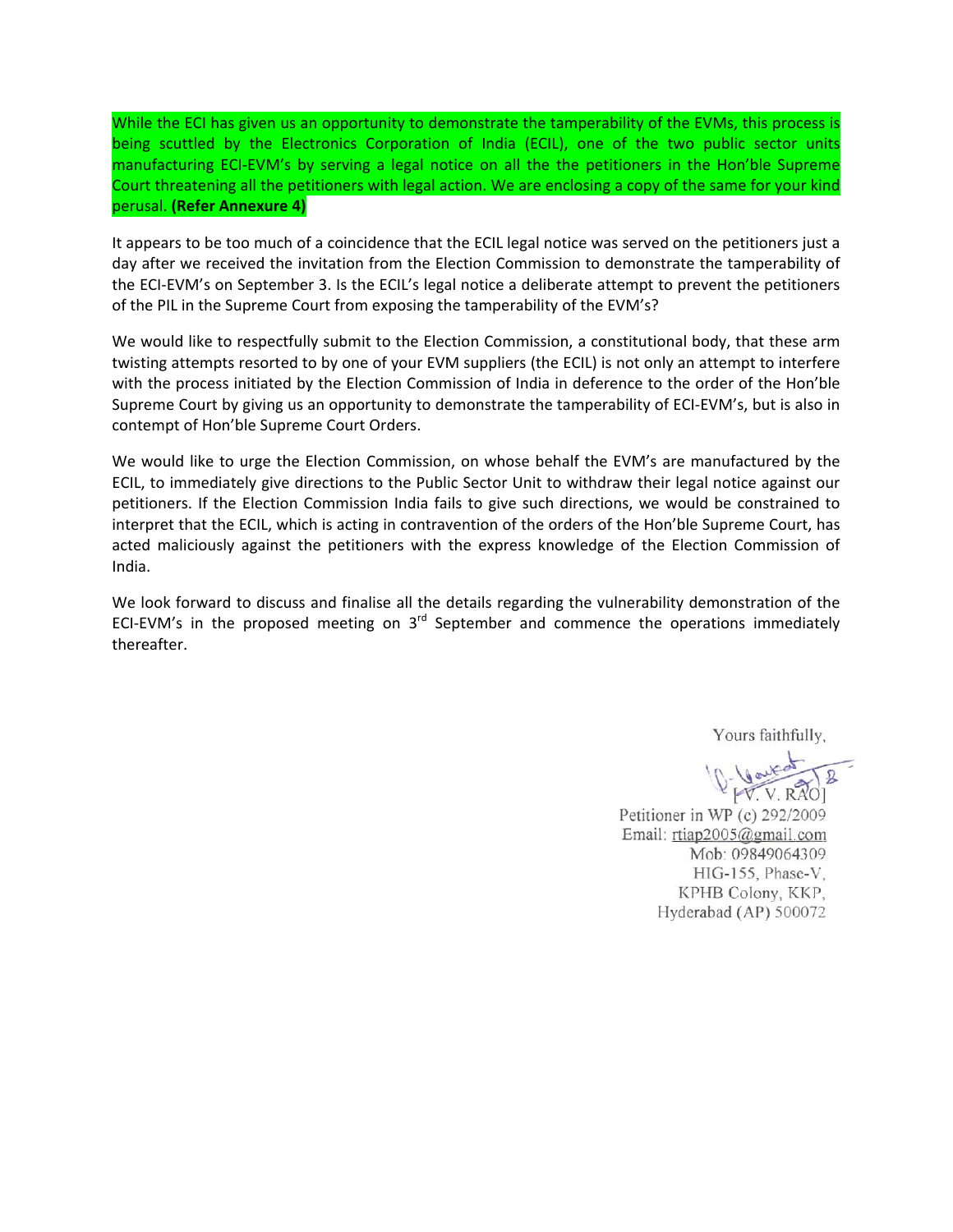While the ECI has given us an opportunity to demonstrate the tamperability of the EVMs, this process is being scuttled by the Electronics Corporation of India (ECIL), one of the two public sector units manufacturing ECI‐EVM's by serving a legal notice on all the the petitioners in the Hon'ble Supreme Court threatening all the petitioners with legal action. We are enclosing a copy of the same for your kind perusal. **(Refer Annexure 4)**

It appears to be too much of a coincidence that the ECIL legal notice was served on the petitioners just a day after we received the invitation from the Election Commission to demonstrate the tamperability of the ECI-EVM's on September 3. Is the ECIL's legal notice a deliberate attempt to prevent the petitioners of the PIL in the Supreme Court from exposing the tamperability of the EVM's?

We would like to respectfully submit to the Election Commission, a constitutional body, that these arm twisting attempts resorted to by one of your EVM suppliers (the ECIL) is not only an attempt to interfere with the process initiated by the Election Commission of India in deference to the order of the Hon'ble Supreme Court by giving us an opportunity to demonstrate the tamperability of ECI‐EVM's, but is also in contempt of Hon'ble Supreme Court Orders.

We would like to urge the Election Commission, on whose behalf the EVM's are manufactured by the ECIL, to immediately give directions to the Public Sector Unit to withdraw their legal notice against our petitioners. If the Election Commission India fails to give such directions, we would be constrained to interpret that the ECIL, which is acting in contravention of the orders of the Hon'ble Supreme Court, has acted maliciously against the petitioners with the express knowledge of the Election Commission of India.

We look forward to discuss and finalise all the details regarding the vulnerability demonstration of the ECI-EVM's in the proposed meeting on 3<sup>rd</sup> September and commence the operations immediately thereafter.

Yours faithfully,

10- Vautor

Petitioner in WP (c) 292/2009 Email: rtiap2005@gmail.com Mob: 09849064309 HIG-155, Phase-V, KPHB Colony, KKP, Hyderabad (AP) 500072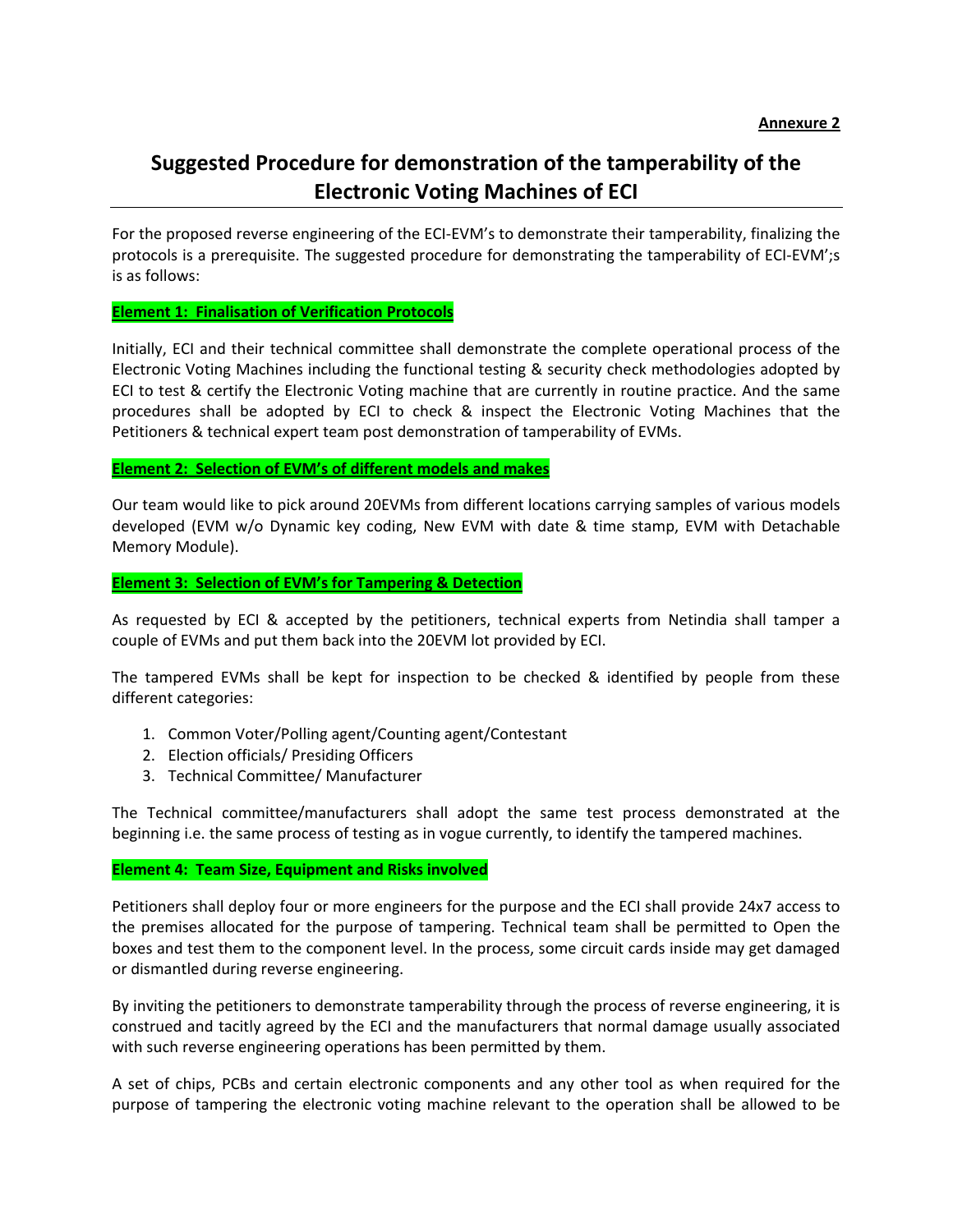# **Suggested Procedure for demonstration of the tamperability of the Electronic Voting Machines of ECI**

For the proposed reverse engineering of the ECI‐EVM's to demonstrate their tamperability, finalizing the protocols is a prerequisite. The suggested procedure for demonstrating the tamperability of ECI-EVM';s is as follows:

**Element 1: Finalisation of Verification Protocols**

Initially, ECI and their technical committee shall demonstrate the complete operational process of the Electronic Voting Machines including the functional testing & security check methodologies adopted by ECI to test & certify the Electronic Voting machine that are currently in routine practice. And the same procedures shall be adopted by ECI to check & inspect the Electronic Voting Machines that the Petitioners & technical expert team post demonstration of tamperability of EVMs.

#### **Element 2: Selection of EVM's of different models and makes**

Our team would like to pick around 20EVMs from different locations carrying samples of various models developed (EVM w/o Dynamic key coding, New EVM with date & time stamp, EVM with Detachable Memory Module).

#### **Element 3: Selection of EVM's for Tampering & Detection**

As requested by ECI & accepted by the petitioners, technical experts from Netindia shall tamper a couple of EVMs and put them back into the 20EVM lot provided by ECI.

The tampered EVMs shall be kept for inspection to be checked & identified by people from these different categories:

- 1. Common Voter/Polling agent/Counting agent/Contestant
- 2. Election officials/ Presiding Officers
- 3. Technical Committee/ Manufacturer

The Technical committee/manufacturers shall adopt the same test process demonstrated at the beginning i.e. the same process of testing as in vogue currently, to identify the tampered machines.

#### **Element 4: Team Size, Equipment and Risks involved**

Petitioners shall deploy four or more engineers for the purpose and the ECI shall provide 24x7 access to the premises allocated for the purpose of tampering. Technical team shall be permitted to Open the boxes and test them to the component level. In the process, some circuit cards inside may get damaged or dismantled during reverse engineering.

By inviting the petitioners to demonstrate tamperability through the process of reverse engineering, it is construed and tacitly agreed by the ECI and the manufacturers that normal damage usually associated with such reverse engineering operations has been permitted by them.

A set of chips, PCBs and certain electronic components and any other tool as when required for the purpose of tampering the electronic voting machine relevant to the operation shall be allowed to be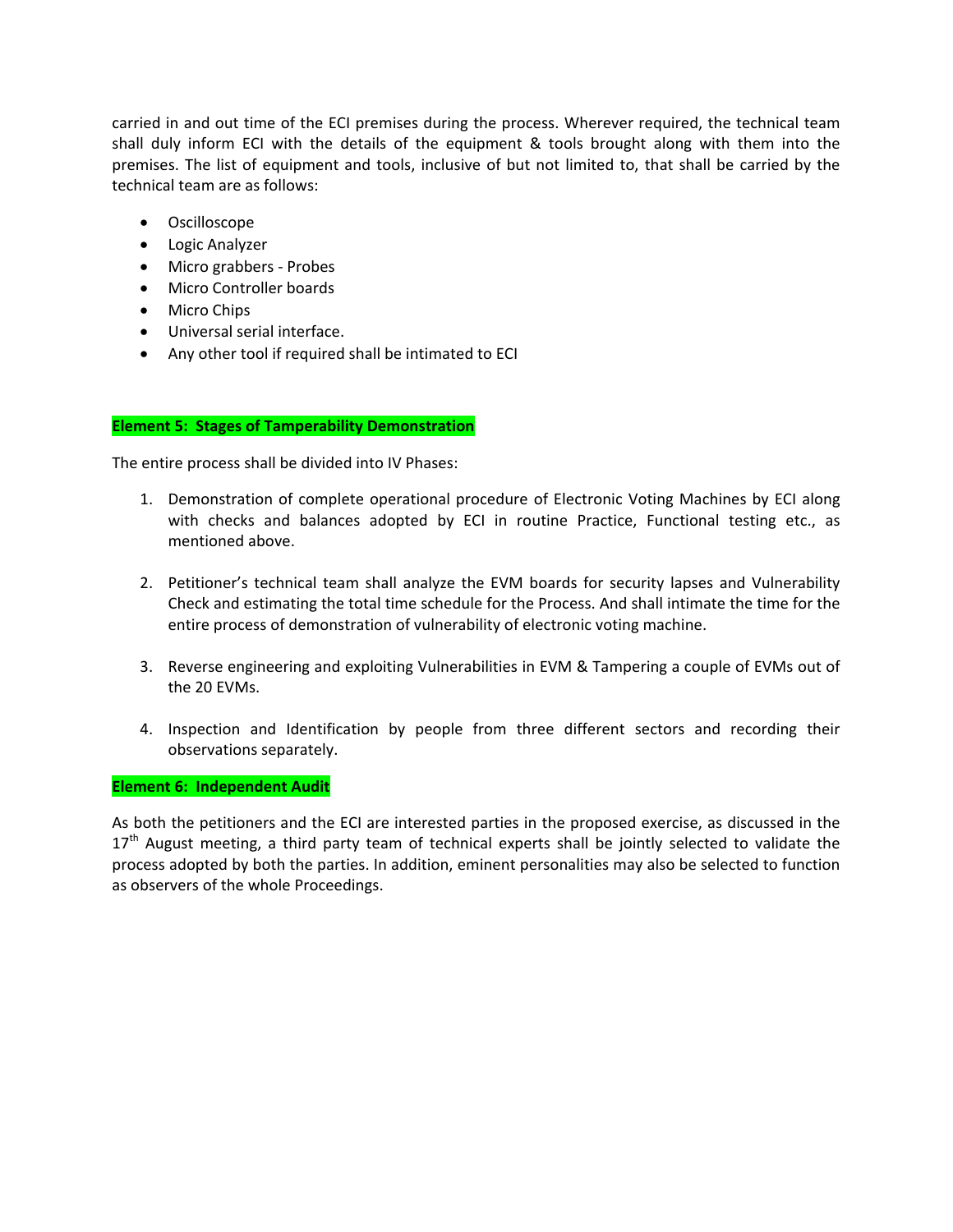carried in and out time of the ECI premises during the process. Wherever required, the technical team shall duly inform ECI with the details of the equipment & tools brought along with them into the premises. The list of equipment and tools, inclusive of but not limited to, that shall be carried by the technical team are as follows:

- Oscilloscope
- Logic Analyzer
- Micro grabbers Probes
- Micro Controller boards
- Micro Chips
- Universal serial interface.
- Any other tool if required shall be intimated to ECI

#### **Element 5: Stages of Tamperability Demonstration**

The entire process shall be divided into IV Phases:

- 1. Demonstration of complete operational procedure of Electronic Voting Machines by ECI along with checks and balances adopted by ECI in routine Practice, Functional testing etc., as mentioned above.
- 2. Petitioner's technical team shall analyze the EVM boards for security lapses and Vulnerability Check and estimating the total time schedule for the Process. And shall intimate the time for the entire process of demonstration of vulnerability of electronic voting machine.
- 3. Reverse engineering and exploiting Vulnerabilities in EVM & Tampering a couple of EVMs out of the 20 EVMs.
- 4. Inspection and Identification by people from three different sectors and recording their observations separately.

#### **Element 6: Independent Audit**

As both the petitioners and the ECI are interested parties in the proposed exercise, as discussed in the 17<sup>th</sup> August meeting, a third party team of technical experts shall be jointly selected to validate the process adopted by both the parties. In addition, eminent personalities may also be selected to function as observers of the whole Proceedings.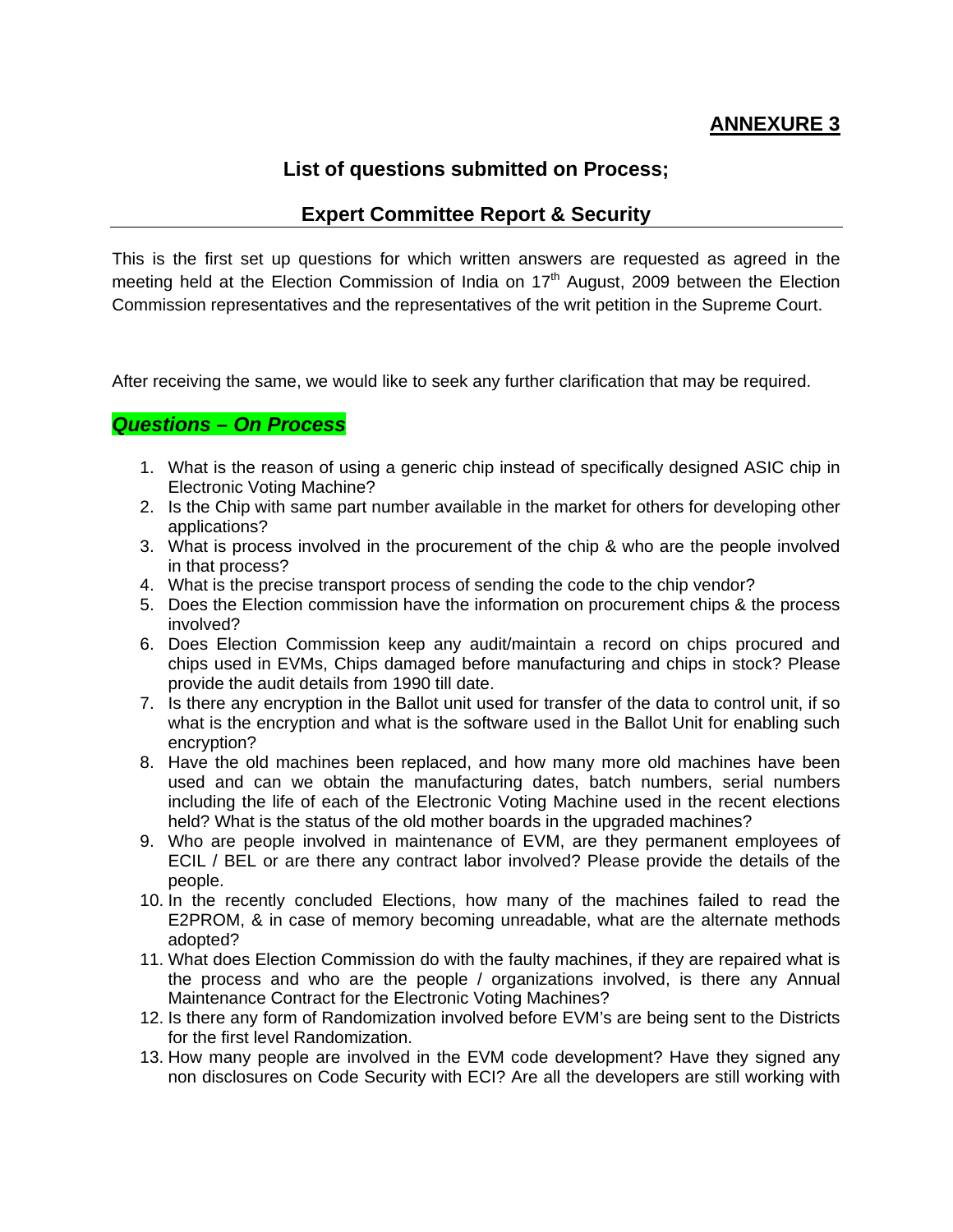## **ANNEXURE 3**

## **List of questions submitted on Process;**

### **Expert Committee Report & Security**

This is the first set up questions for which written answers are requested as agreed in the meeting held at the Election Commission of India on  $17<sup>th</sup>$  August, 2009 between the Election Commission representatives and the representatives of the writ petition in the Supreme Court.

After receiving the same, we would like to seek any further clarification that may be required.

### *Questions – On Process*

- 1. What is the reason of using a generic chip instead of specifically designed ASIC chip in Electronic Voting Machine?
- 2. Is the Chip with same part number available in the market for others for developing other applications?
- 3. What is process involved in the procurement of the chip & who are the people involved in that process?
- 4. What is the precise transport process of sending the code to the chip vendor?
- 5. Does the Election commission have the information on procurement chips & the process involved?
- 6. Does Election Commission keep any audit/maintain a record on chips procured and chips used in EVMs, Chips damaged before manufacturing and chips in stock? Please provide the audit details from 1990 till date.
- 7. Is there any encryption in the Ballot unit used for transfer of the data to control unit, if so what is the encryption and what is the software used in the Ballot Unit for enabling such encryption?
- 8. Have the old machines been replaced, and how many more old machines have been used and can we obtain the manufacturing dates, batch numbers, serial numbers including the life of each of the Electronic Voting Machine used in the recent elections held? What is the status of the old mother boards in the upgraded machines?
- 9. Who are people involved in maintenance of EVM, are they permanent employees of ECIL / BEL or are there any contract labor involved? Please provide the details of the people.
- 10. In the recently concluded Elections, how many of the machines failed to read the E2PROM, & in case of memory becoming unreadable, what are the alternate methods adopted?
- 11. What does Election Commission do with the faulty machines, if they are repaired what is the process and who are the people / organizations involved, is there any Annual Maintenance Contract for the Electronic Voting Machines?
- 12. Is there any form of Randomization involved before EVM's are being sent to the Districts for the first level Randomization.
- 13. How many people are involved in the EVM code development? Have they signed any non disclosures on Code Security with ECI? Are all the developers are still working with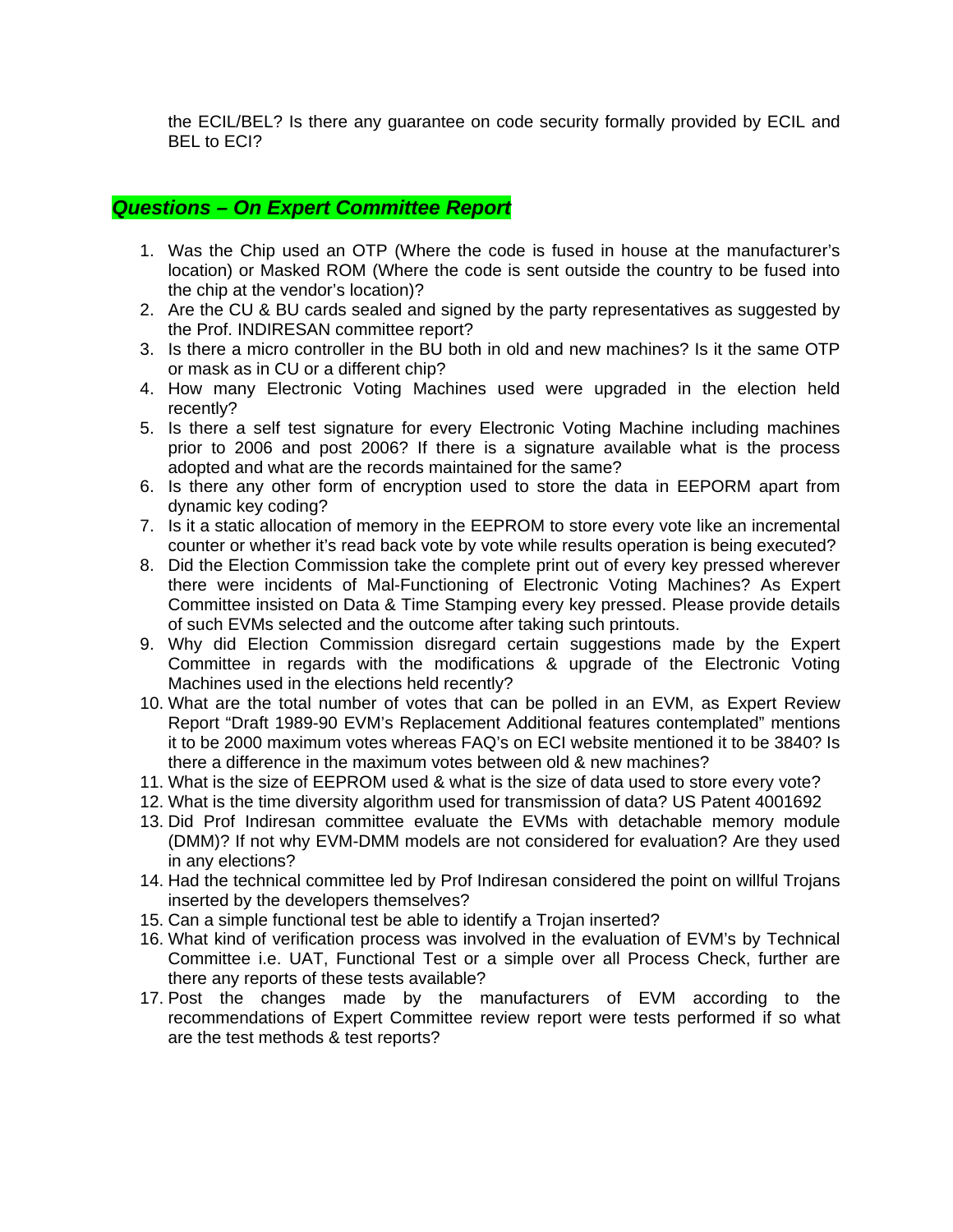the ECIL/BEL? Is there any guarantee on code security formally provided by ECIL and BEL to ECI?

## *Questions – On Expert Committee Report*

- 1. Was the Chip used an OTP (Where the code is fused in house at the manufacturer's location) or Masked ROM (Where the code is sent outside the country to be fused into the chip at the vendor's location)?
- 2. Are the CU & BU cards sealed and signed by the party representatives as suggested by the Prof. INDIRESAN committee report?
- 3. Is there a micro controller in the BU both in old and new machines? Is it the same OTP or mask as in CU or a different chip?
- 4. How many Electronic Voting Machines used were upgraded in the election held recently?
- 5. Is there a self test signature for every Electronic Voting Machine including machines prior to 2006 and post 2006? If there is a signature available what is the process adopted and what are the records maintained for the same?
- 6. Is there any other form of encryption used to store the data in EEPORM apart from dynamic key coding?
- 7. Is it a static allocation of memory in the EEPROM to store every vote like an incremental counter or whether it's read back vote by vote while results operation is being executed?
- 8. Did the Election Commission take the complete print out of every key pressed wherever there were incidents of Mal-Functioning of Electronic Voting Machines? As Expert Committee insisted on Data & Time Stamping every key pressed. Please provide details of such EVMs selected and the outcome after taking such printouts.
- 9. Why did Election Commission disregard certain suggestions made by the Expert Committee in regards with the modifications & upgrade of the Electronic Voting Machines used in the elections held recently?
- 10. What are the total number of votes that can be polled in an EVM, as Expert Review Report "Draft 1989-90 EVM's Replacement Additional features contemplated" mentions it to be 2000 maximum votes whereas FAQ's on ECI website mentioned it to be 3840? Is there a difference in the maximum votes between old & new machines?
- 11. What is the size of EEPROM used & what is the size of data used to store every vote?
- 12. What is the time diversity algorithm used for transmission of data? US Patent 4001692
- 13. Did Prof Indiresan committee evaluate the EVMs with detachable memory module (DMM)? If not why EVM-DMM models are not considered for evaluation? Are they used in any elections?
- 14. Had the technical committee led by Prof Indiresan considered the point on willful Trojans inserted by the developers themselves?
- 15. Can a simple functional test be able to identify a Trojan inserted?
- 16. What kind of verification process was involved in the evaluation of EVM's by Technical Committee i.e. UAT, Functional Test or a simple over all Process Check, further are there any reports of these tests available?
- 17. Post the changes made by the manufacturers of EVM according to the recommendations of Expert Committee review report were tests performed if so what are the test methods & test reports?